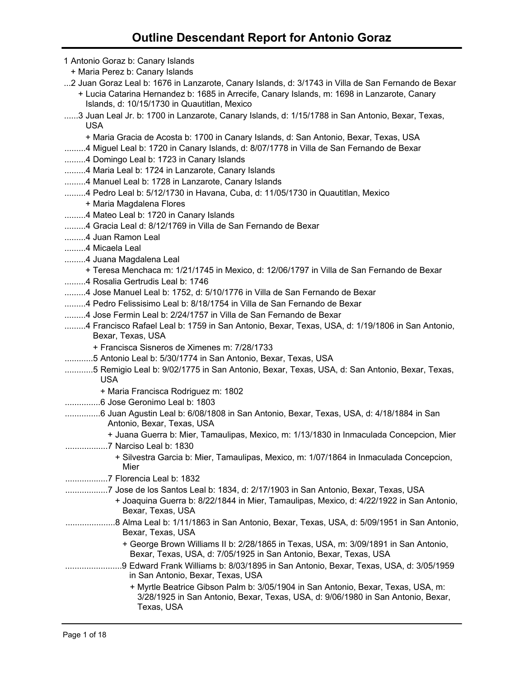1 Antonio Goraz b: Canary Islands + Maria Perez b: Canary Islands ...2 Juan Goraz Leal b: 1676 in Lanzarote, Canary Islands, d: 3/1743 in Villa de San Fernando de Bexar + Lucia Catarina Hernandez b: 1685 in Arrecife, Canary Islands, m: 1698 in Lanzarote, Canary Islands, d: 10/15/1730 in Quautitlan, Mexico ......3 Juan Leal Jr. b: 1700 in Lanzarote, Canary Islands, d: 1/15/1788 in San Antonio, Bexar, Texas, USA + Maria Gracia de Acosta b: 1700 in Canary Islands, d: San Antonio, Bexar, Texas, USA .........4 Miguel Leal b: 1720 in Canary Islands, d: 8/07/1778 in Villa de San Fernando de Bexar .........4 Domingo Leal b: 1723 in Canary Islands .........4 Maria Leal b: 1724 in Lanzarote, Canary Islands .........4 Manuel Leal b: 1728 in Lanzarote, Canary Islands .........4 Pedro Leal b: 5/12/1730 in Havana, Cuba, d: 11/05/1730 in Quautitlan, Mexico + Maria Magdalena Flores .........4 Mateo Leal b: 1720 in Canary Islands .........4 Gracia Leal d: 8/12/1769 in Villa de San Fernando de Bexar .........4 Juan Ramon Leal .........4 Micaela Leal .........4 Juana Magdalena Leal + Teresa Menchaca m: 1/21/1745 in Mexico, d: 12/06/1797 in Villa de San Fernando de Bexar .........4 Rosalia Gertrudis Leal b: 1746 .........4 Jose Manuel Leal b: 1752, d: 5/10/1776 in Villa de San Fernando de Bexar .........4 Pedro Felissisimo Leal b: 8/18/1754 in Villa de San Fernando de Bexar .........4 Jose Fermin Leal b: 2/24/1757 in Villa de San Fernando de Bexar .........4 Francisco Rafael Leal b: 1759 in San Antonio, Bexar, Texas, USA, d: 1/19/1806 in San Antonio, Bexar, Texas, USA + Francisca Sisneros de Ximenes m: 7/28/1733 ............5 Antonio Leal b: 5/30/1774 in San Antonio, Bexar, Texas, USA ............5 Remigio Leal b: 9/02/1775 in San Antonio, Bexar, Texas, USA, d: San Antonio, Bexar, Texas, USA + Maria Francisca Rodriguez m: 1802 ...............6 Jose Geronimo Leal b: 1803 ...............6 Juan Agustin Leal b: 6/08/1808 in San Antonio, Bexar, Texas, USA, d: 4/18/1884 in San Antonio, Bexar, Texas, USA + Juana Guerra b: Mier, Tamaulipas, Mexico, m: 1/13/1830 in Inmaculada Concepcion, Mier ..................7 Narciso Leal b: 1830 + Silvestra Garcia b: Mier, Tamaulipas, Mexico, m: 1/07/1864 in Inmaculada Concepcion, Mier ..................7 Florencia Leal b: 1832 ..................7 Jose de los Santos Leal b: 1834, d: 2/17/1903 in San Antonio, Bexar, Texas, USA + Joaquina Guerra b: 8/22/1844 in Mier, Tamaulipas, Mexico, d: 4/22/1922 in San Antonio, Bexar, Texas, USA .....................8 Alma Leal b: 1/11/1863 in San Antonio, Bexar, Texas, USA, d: 5/09/1951 in San Antonio, Bexar, Texas, USA + George Brown Williams II b: 2/28/1865 in Texas, USA, m: 3/09/1891 in San Antonio, Bexar, Texas, USA, d: 7/05/1925 in San Antonio, Bexar, Texas, USA ........................9 Edward Frank Williams b: 8/03/1895 in San Antonio, Bexar, Texas, USA, d: 3/05/1959 in San Antonio, Bexar, Texas, USA + Myrtle Beatrice Gibson Palm b: 3/05/1904 in San Antonio, Bexar, Texas, USA, m: 3/28/1925 in San Antonio, Bexar, Texas, USA, d: 9/06/1980 in San Antonio, Bexar, Texas, USA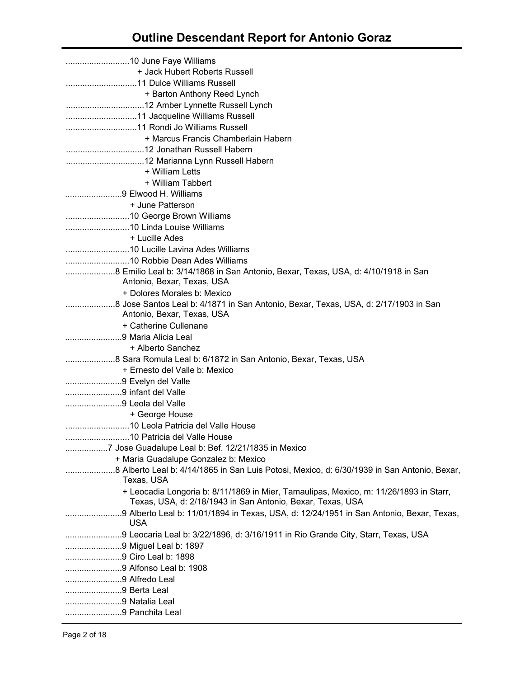| + Jack Hubert Roberts Russell                                                                                                                       |
|-----------------------------------------------------------------------------------------------------------------------------------------------------|
|                                                                                                                                                     |
| + Barton Anthony Reed Lynch                                                                                                                         |
|                                                                                                                                                     |
|                                                                                                                                                     |
|                                                                                                                                                     |
| + Marcus Francis Chamberlain Habern                                                                                                                 |
|                                                                                                                                                     |
|                                                                                                                                                     |
| + William Letts                                                                                                                                     |
| + William Tabbert                                                                                                                                   |
| 9 Elwood H. Williams                                                                                                                                |
| + June Patterson                                                                                                                                    |
|                                                                                                                                                     |
|                                                                                                                                                     |
| + Lucille Ades                                                                                                                                      |
|                                                                                                                                                     |
|                                                                                                                                                     |
| 8 Emilio Leal b: 3/14/1868 in San Antonio, Bexar, Texas, USA, d: 4/10/1918 in San                                                                   |
| Antonio, Bexar, Texas, USA                                                                                                                          |
| + Dolores Morales b: Mexico                                                                                                                         |
|                                                                                                                                                     |
| Antonio, Bexar, Texas, USA                                                                                                                          |
| + Catherine Cullenane                                                                                                                               |
| 9 Maria Alicia Leal                                                                                                                                 |
| + Alberto Sanchez                                                                                                                                   |
|                                                                                                                                                     |
| + Ernesto del Valle b: Mexico                                                                                                                       |
| 9 Evelyn del Valle                                                                                                                                  |
| 9 infant del Valle                                                                                                                                  |
| 9 Leola del Valle                                                                                                                                   |
| + George House                                                                                                                                      |
|                                                                                                                                                     |
|                                                                                                                                                     |
| 7 Jose Guadalupe Leal b: Bef. 12/21/1835 in Mexico                                                                                                  |
| + Maria Guadalupe Gonzalez b: Mexico                                                                                                                |
| Texas, USA                                                                                                                                          |
| + Leocadia Longoria b: 8/11/1869 in Mier, Tamaulipas, Mexico, m: 11/26/1893 in Starr,<br>Texas, USA, d: 2/18/1943 in San Antonio, Bexar, Texas, USA |
| <b>USA</b>                                                                                                                                          |
|                                                                                                                                                     |
| 9 Leocaria Leal b: 3/22/1896, d: 3/16/1911 in Rio Grande City, Starr, Texas, USA                                                                    |
| 9 Miguel Leal b: 1897<br>9 Ciro Leal b: 1898                                                                                                        |
|                                                                                                                                                     |
| 9 Alfredo Leal                                                                                                                                      |
| 9 Berta Leal                                                                                                                                        |
| 9 Natalia Leal                                                                                                                                      |
| 9 Panchita Leal                                                                                                                                     |
|                                                                                                                                                     |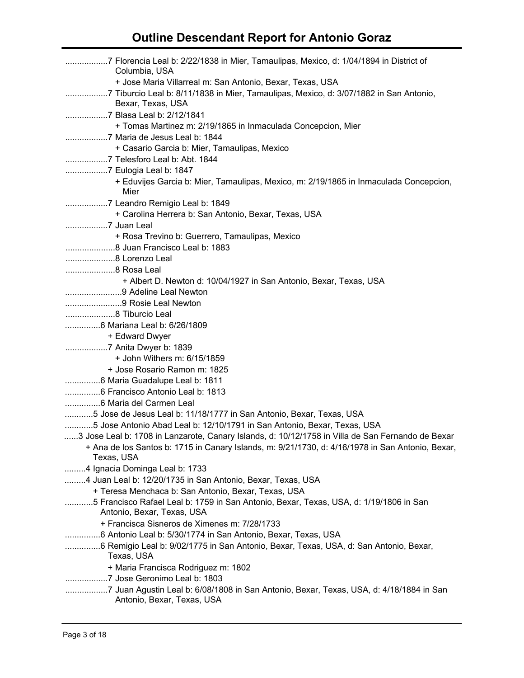| Columbia, USA                                                                                                         |  |
|-----------------------------------------------------------------------------------------------------------------------|--|
| + Jose Maria Villarreal m: San Antonio, Bexar, Texas, USA<br>Bexar, Texas, USA                                        |  |
| 7 Blasa Leal b: 2/12/1841<br>+ Tomas Martinez m: 2/19/1865 in Inmaculada Concepcion, Mier                             |  |
|                                                                                                                       |  |
| + Casario Garcia b: Mier, Tamaulipas, Mexico<br>7 Telesforo Leal b: Abt. 1844                                         |  |
|                                                                                                                       |  |
| + Eduvijes Garcia b: Mier, Tamaulipas, Mexico, m: 2/19/1865 in Inmaculada Concepcion,<br>Mier                         |  |
|                                                                                                                       |  |
| + Carolina Herrera b: San Antonio, Bexar, Texas, USA                                                                  |  |
|                                                                                                                       |  |
| + Rosa Trevino b: Guerrero, Tamaulipas, Mexico                                                                        |  |
|                                                                                                                       |  |
| 8 Lorenzo Leal                                                                                                        |  |
|                                                                                                                       |  |
| + Albert D. Newton d: 10/04/1927 in San Antonio, Bexar, Texas, USA                                                    |  |
| 9 Adeline Leal Newton                                                                                                 |  |
| 9 Rosie Leal Newton                                                                                                   |  |
|                                                                                                                       |  |
|                                                                                                                       |  |
| + Edward Dwyer                                                                                                        |  |
| 7 Anita Dwyer b: 1839                                                                                                 |  |
| + John Withers m: 6/15/1859                                                                                           |  |
| + Jose Rosario Ramon m: 1825                                                                                          |  |
|                                                                                                                       |  |
|                                                                                                                       |  |
|                                                                                                                       |  |
| 5 Jose de Jesus Leal b: 11/18/1777 in San Antonio, Bexar, Texas, USA                                                  |  |
| 5 Jose Antonio Abad Leal b: 12/10/1791 in San Antonio, Bexar, Texas, USA                                              |  |
| 3 Jose Leal b: 1708 in Lanzarote, Canary Islands, d: 10/12/1758 in Villa de San Fernando de Bexar                     |  |
| + Ana de los Santos b: 1715 in Canary Islands, m: 9/21/1730, d: 4/16/1978 in San Antonio, Bexar,                      |  |
| Texas, USA                                                                                                            |  |
| 4 Ignacia Dominga Leal b: 1733                                                                                        |  |
| 4 Juan Leal b: 12/20/1735 in San Antonio, Bexar, Texas, USA                                                           |  |
| + Teresa Menchaca b: San Antonio, Bexar, Texas, USA                                                                   |  |
| 5 Francisco Rafael Leal b: 1759 in San Antonio, Bexar, Texas, USA, d: 1/19/1806 in San<br>Antonio, Bexar, Texas, USA  |  |
| + Francisca Sisneros de Ximenes m: 7/28/1733                                                                          |  |
| 6 Antonio Leal b: 5/30/1774 in San Antonio, Bexar, Texas, USA                                                         |  |
| 6 Remigio Leal b: 9/02/1775 in San Antonio, Bexar, Texas, USA, d: San Antonio, Bexar,<br>Texas, USA                   |  |
| + Maria Francisca Rodriguez m: 1802                                                                                   |  |
| 7 Jose Geronimo Leal b: 1803                                                                                          |  |
| 7 Juan Agustin Leal b: 6/08/1808 in San Antonio, Bexar, Texas, USA, d: 4/18/1884 in San<br>Antonio, Bexar, Texas, USA |  |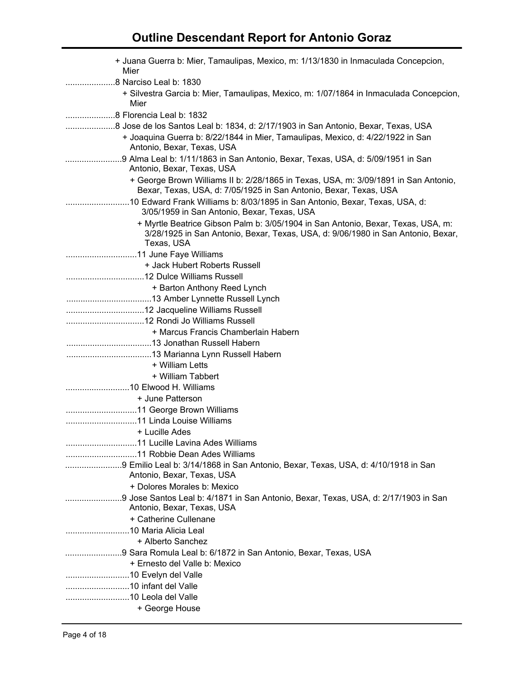| + Juana Guerra b: Mier, Tamaulipas, Mexico, m: 1/13/1830 in Inmaculada Concepcion,<br>Mier                                                                                                         |
|----------------------------------------------------------------------------------------------------------------------------------------------------------------------------------------------------|
|                                                                                                                                                                                                    |
| + Silvestra Garcia b: Mier, Tamaulipas, Mexico, m: 1/07/1864 in Inmaculada Concepcion,<br>Mier                                                                                                     |
|                                                                                                                                                                                                    |
| 8 Jose de los Santos Leal b: 1834, d: 2/17/1903 in San Antonio, Bexar, Texas, USA<br>+ Joaquina Guerra b: 8/22/1844 in Mier, Tamaulipas, Mexico, d: 4/22/1922 in San<br>Antonio, Bexar, Texas, USA |
| 9 Alma Leal b: 1/11/1863 in San Antonio, Bexar, Texas, USA, d: 5/09/1951 in San<br>Antonio, Bexar, Texas, USA                                                                                      |
| + George Brown Williams II b: 2/28/1865 in Texas, USA, m: 3/09/1891 in San Antonio,<br>Bexar, Texas, USA, d: 7/05/1925 in San Antonio, Bexar, Texas, USA                                           |
| 10 Edward Frank Williams b: 8/03/1895 in San Antonio, Bexar, Texas, USA, d:<br>3/05/1959 in San Antonio, Bexar, Texas, USA                                                                         |
| + Myrtle Beatrice Gibson Palm b: 3/05/1904 in San Antonio, Bexar, Texas, USA, m:<br>3/28/1925 in San Antonio, Bexar, Texas, USA, d: 9/06/1980 in San Antonio, Bexar,<br>Texas, USA                 |
|                                                                                                                                                                                                    |
| + Jack Hubert Roberts Russell                                                                                                                                                                      |
|                                                                                                                                                                                                    |
| + Barton Anthony Reed Lynch                                                                                                                                                                        |
|                                                                                                                                                                                                    |
|                                                                                                                                                                                                    |
|                                                                                                                                                                                                    |
| + Marcus Francis Chamberlain Habern                                                                                                                                                                |
|                                                                                                                                                                                                    |
|                                                                                                                                                                                                    |
| + William Letts                                                                                                                                                                                    |
| + William Tabbert                                                                                                                                                                                  |
|                                                                                                                                                                                                    |
| + June Patterson                                                                                                                                                                                   |
|                                                                                                                                                                                                    |
|                                                                                                                                                                                                    |
| + Lucille Ades                                                                                                                                                                                     |
|                                                                                                                                                                                                    |
|                                                                                                                                                                                                    |
| 9 Emilio Leal b: 3/14/1868 in San Antonio, Bexar, Texas, USA, d: 4/10/1918 in San                                                                                                                  |
| Antonio, Bexar, Texas, USA                                                                                                                                                                         |
| + Dolores Morales b: Mexico                                                                                                                                                                        |
| 9 Jose Santos Leal b: 4/1871 in San Antonio, Bexar, Texas, USA, d: 2/17/1903 in San                                                                                                                |
| Antonio, Bexar, Texas, USA                                                                                                                                                                         |
| + Catherine Cullenane                                                                                                                                                                              |
|                                                                                                                                                                                                    |
| + Alberto Sanchez                                                                                                                                                                                  |
| 9 Sara Romula Leal b: 6/1872 in San Antonio, Bexar, Texas, USA                                                                                                                                     |
| + Ernesto del Valle b: Mexico                                                                                                                                                                      |
|                                                                                                                                                                                                    |
|                                                                                                                                                                                                    |
|                                                                                                                                                                                                    |
| + George House                                                                                                                                                                                     |
|                                                                                                                                                                                                    |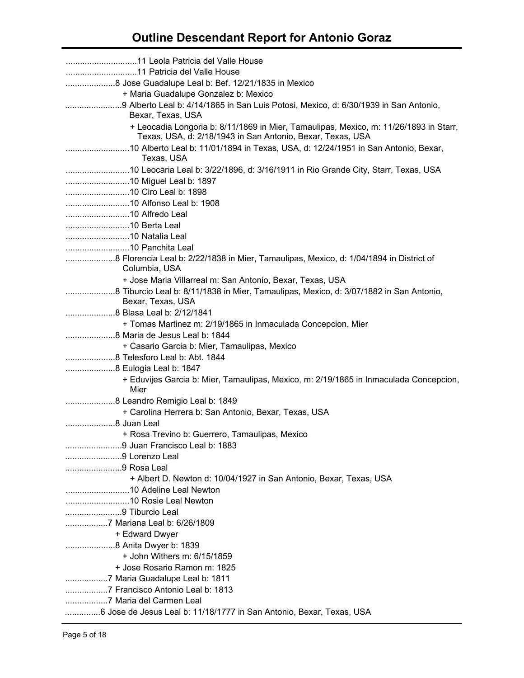| 8 Jose Guadalupe Leal b: Bef. 12/21/1835 in Mexico                                                                                                  |
|-----------------------------------------------------------------------------------------------------------------------------------------------------|
| + Maria Guadalupe Gonzalez b: Mexico                                                                                                                |
| Bexar, Texas, USA                                                                                                                                   |
| + Leocadia Longoria b: 8/11/1869 in Mier, Tamaulipas, Mexico, m: 11/26/1893 in Starr,<br>Texas, USA, d: 2/18/1943 in San Antonio, Bexar, Texas, USA |
| Texas, USA                                                                                                                                          |
|                                                                                                                                                     |
|                                                                                                                                                     |
|                                                                                                                                                     |
|                                                                                                                                                     |
|                                                                                                                                                     |
|                                                                                                                                                     |
|                                                                                                                                                     |
|                                                                                                                                                     |
| Columbia, USA                                                                                                                                       |
| + Jose Maria Villarreal m: San Antonio, Bexar, Texas, USA                                                                                           |
| Bexar, Texas, USA                                                                                                                                   |
|                                                                                                                                                     |
| + Tomas Martinez m: 2/19/1865 in Inmaculada Concepcion, Mier                                                                                        |
|                                                                                                                                                     |
| + Casario Garcia b: Mier, Tamaulipas, Mexico                                                                                                        |
|                                                                                                                                                     |
| 8 Eulogia Leal b: 1847                                                                                                                              |
| + Eduvijes Garcia b: Mier, Tamaulipas, Mexico, m: 2/19/1865 in Inmaculada Concepcion,<br>Mier                                                       |
|                                                                                                                                                     |
| + Carolina Herrera b: San Antonio, Bexar, Texas, USA                                                                                                |
| 8 Juan Leal                                                                                                                                         |
| + Rosa Trevino b: Guerrero, Tamaulipas, Mexico                                                                                                      |
|                                                                                                                                                     |
| 9 Lorenzo Leal                                                                                                                                      |
| 9 Rosa Leal                                                                                                                                         |
| + Albert D. Newton d: 10/04/1927 in San Antonio, Bexar, Texas, USA                                                                                  |
|                                                                                                                                                     |
|                                                                                                                                                     |
| 9 Tiburcio Leal                                                                                                                                     |
| 7 Mariana Leal b: 6/26/1809                                                                                                                         |
| + Edward Dwyer                                                                                                                                      |
|                                                                                                                                                     |
| + John Withers m: 6/15/1859                                                                                                                         |
| + Jose Rosario Ramon m: 1825                                                                                                                        |
|                                                                                                                                                     |
|                                                                                                                                                     |
|                                                                                                                                                     |
|                                                                                                                                                     |
| 6 Jose de Jesus Leal b: 11/18/1777 in San Antonio, Bexar, Texas, USA                                                                                |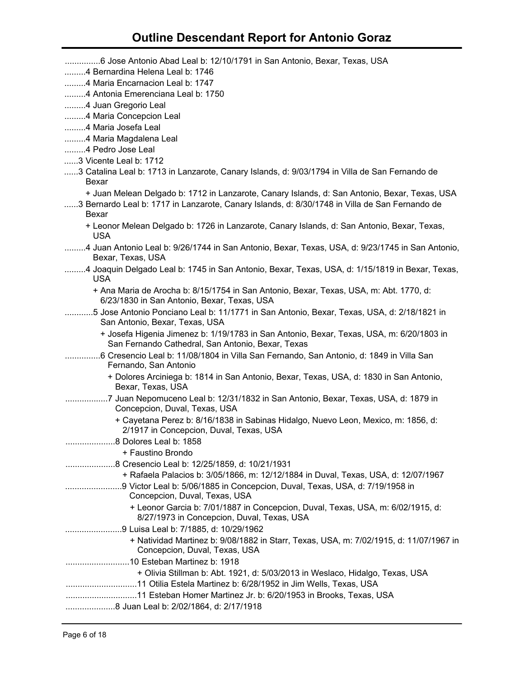| 6 Jose Antonio Abad Leal b: 12/10/1791 in San Antonio, Bexar, Texas, USA                                                                      |
|-----------------------------------------------------------------------------------------------------------------------------------------------|
| 4 Bernardina Helena Leal b: 1746                                                                                                              |
| 4 Maria Encarnacion Leal b: 1747                                                                                                              |
| 4 Antonia Emerenciana Leal b: 1750                                                                                                            |
| 4 Juan Gregorio Leal                                                                                                                          |
| 4 Maria Concepcion Leal                                                                                                                       |
| 4 Maria Josefa Leal                                                                                                                           |
| 4 Maria Magdalena Leal                                                                                                                        |
| 4 Pedro Jose Leal                                                                                                                             |
| 3 Vicente Leal b: 1712                                                                                                                        |
| 3 Catalina Leal b: 1713 in Lanzarote, Canary Islands, d: 9/03/1794 in Villa de San Fernando de<br>Bexar                                       |
| + Juan Melean Delgado b: 1712 in Lanzarote, Canary Islands, d: San Antonio, Bexar, Texas, USA                                                 |
| 3 Bernardo Leal b: 1717 in Lanzarote, Canary Islands, d: 8/30/1748 in Villa de San Fernando de<br>Bexar                                       |
| + Leonor Melean Delgado b: 1726 in Lanzarote, Canary Islands, d: San Antonio, Bexar, Texas,<br><b>USA</b>                                     |
| 4 Juan Antonio Leal b: 9/26/1744 in San Antonio, Bexar, Texas, USA, d: 9/23/1745 in San Antonio,<br>Bexar, Texas, USA                         |
| 4 Joaquin Delgado Leal b: 1745 in San Antonio, Bexar, Texas, USA, d: 1/15/1819 in Bexar, Texas,<br><b>USA</b>                                 |
| + Ana Maria de Arocha b: 8/15/1754 in San Antonio, Bexar, Texas, USA, m: Abt. 1770, d:<br>6/23/1830 in San Antonio, Bexar, Texas, USA         |
| 5 Jose Antonio Ponciano Leal b: 11/1771 in San Antonio, Bexar, Texas, USA, d: 2/18/1821 in<br>San Antonio, Bexar, Texas, USA                  |
| + Josefa Higenia Jimenez b: 1/19/1783 in San Antonio, Bexar, Texas, USA, m: 6/20/1803 in<br>San Fernando Cathedral, San Antonio, Bexar, Texas |
| 6 Cresencio Leal b: 11/08/1804 in Villa San Fernando, San Antonio, d: 1849 in Villa San<br>Fernando, San Antonio                              |
| + Dolores Arciniega b: 1814 in San Antonio, Bexar, Texas, USA, d: 1830 in San Antonio,                                                        |
| Bexar, Texas, USA                                                                                                                             |
| 7 Juan Nepomuceno Leal b: 12/31/1832 in San Antonio, Bexar, Texas, USA, d: 1879 in<br>Concepcion, Duval, Texas, USA                           |
| + Cayetana Perez b: 8/16/1838 in Sabinas Hidalgo, Nuevo Leon, Mexico, m: 1856, d:<br>2/1917 in Concepcion, Duval, Texas, USA                  |
| 8 Dolores Leal b: 1858                                                                                                                        |
| + Faustino Brondo                                                                                                                             |
| 8 Cresencio Leal b: 12/25/1859, d: 10/21/1931                                                                                                 |
| + Rafaela Palacios b: 3/05/1866, m: 12/12/1884 in Duval, Texas, USA, d: 12/07/1967                                                            |
| 9 Victor Leal b: 5/06/1885 in Concepcion, Duval, Texas, USA, d: 7/19/1958 in<br>Concepcion, Duval, Texas, USA                                 |
| + Leonor Garcia b: 7/01/1887 in Concepcion, Duval, Texas, USA, m: 6/02/1915, d:<br>8/27/1973 in Concepcion, Duval, Texas, USA                 |
| 9 Luisa Leal b: 7/1885, d: 10/29/1962                                                                                                         |
| + Natividad Martinez b: 9/08/1882 in Starr, Texas, USA, m: 7/02/1915, d: 11/07/1967 in<br>Concepcion, Duval, Texas, USA                       |
|                                                                                                                                               |
| + Olivia Stillman b: Abt. 1921, d: 5/03/2013 in Weslaco, Hidalgo, Texas, USA                                                                  |
|                                                                                                                                               |
|                                                                                                                                               |
|                                                                                                                                               |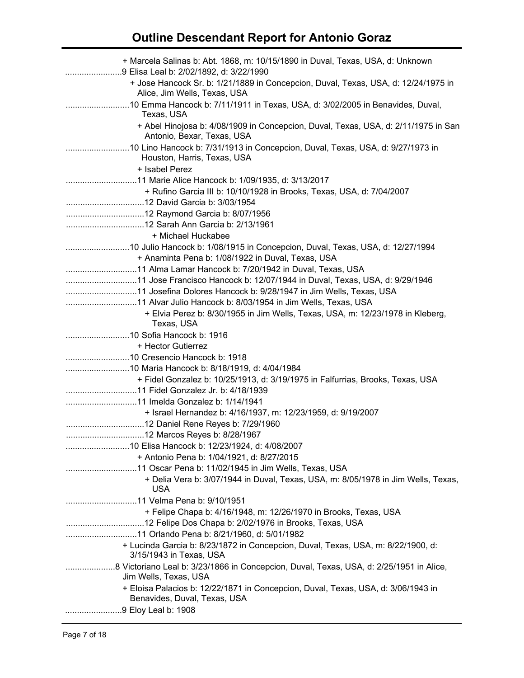| + Marcela Salinas b: Abt. 1868, m: 10/15/1890 in Duval, Texas, USA, d: Unknown<br>9 Elisa Leal b: 2/02/1892, d: 3/22/1990 |
|---------------------------------------------------------------------------------------------------------------------------|
| + Jose Hancock Sr. b: 1/21/1889 in Concepcion, Duval, Texas, USA, d: 12/24/1975 in<br>Alice, Jim Wells, Texas, USA        |
| 10 Emma Hancock b: 7/11/1911 in Texas, USA, d: 3/02/2005 in Benavides, Duval,<br>Texas, USA                               |
| + Abel Hinojosa b: 4/08/1909 in Concepcion, Duval, Texas, USA, d: 2/11/1975 in San<br>Antonio, Bexar, Texas, USA          |
| Houston, Harris, Texas, USA                                                                                               |
| + Isabel Perez                                                                                                            |
|                                                                                                                           |
| + Rufino Garcia III b: 10/10/1928 in Brooks, Texas, USA, d: 7/04/2007                                                     |
|                                                                                                                           |
|                                                                                                                           |
|                                                                                                                           |
| + Michael Huckabee                                                                                                        |
|                                                                                                                           |
| + Anaminta Pena b: 1/08/1922 in Duval, Texas, USA                                                                         |
|                                                                                                                           |
|                                                                                                                           |
|                                                                                                                           |
|                                                                                                                           |
| + Elvia Perez b: 8/30/1955 in Jim Wells, Texas, USA, m: 12/23/1978 in Kleberg,<br>Texas, USA                              |
|                                                                                                                           |
| + Hector Gutierrez                                                                                                        |
|                                                                                                                           |
|                                                                                                                           |
| + Fidel Gonzalez b: 10/25/1913, d: 3/19/1975 in Falfurrias, Brooks, Texas, USA                                            |
|                                                                                                                           |
|                                                                                                                           |
| + Israel Hernandez b: 4/16/1937, m: 12/23/1959, d: 9/19/2007                                                              |
|                                                                                                                           |
|                                                                                                                           |
|                                                                                                                           |
| + Antonio Pena b: 1/04/1921, d: 8/27/2015                                                                                 |
|                                                                                                                           |
| + Delia Vera b: 3/07/1944 in Duval, Texas, USA, m: 8/05/1978 in Jim Wells, Texas,<br><b>USA</b>                           |
|                                                                                                                           |
| + Felipe Chapa b: 4/16/1948, m: 12/26/1970 in Brooks, Texas, USA                                                          |
|                                                                                                                           |
|                                                                                                                           |
| + Lucinda Garcia b: 8/23/1872 in Concepcion, Duval, Texas, USA, m: 8/22/1900, d:<br>3/15/1943 in Texas, USA               |
| 8 Victoriano Leal b: 3/23/1866 in Concepcion, Duval, Texas, USA, d: 2/25/1951 in Alice,                                   |
| Jim Wells, Texas, USA                                                                                                     |
| + Eloisa Palacios b: 12/22/1871 in Concepcion, Duval, Texas, USA, d: 3/06/1943 in<br>Benavides, Duval, Texas, USA         |
| 9 Eloy Leal b: 1908                                                                                                       |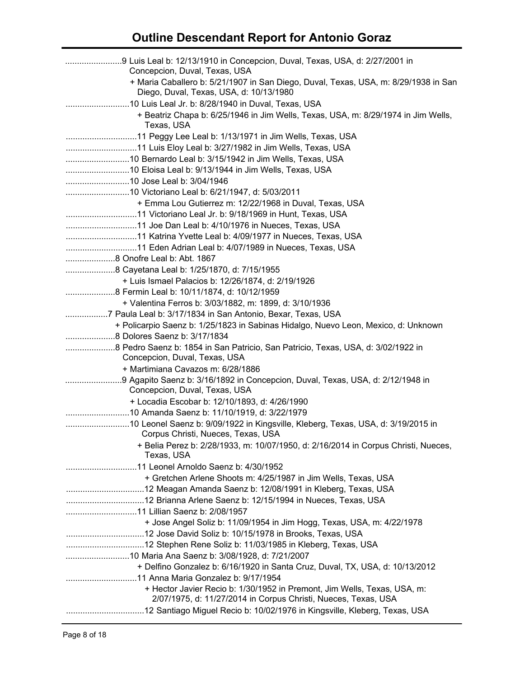| 9 Luis Leal b: 12/13/1910 in Concepcion, Duval, Texas, USA, d: 2/27/2001 in<br>Concepcion, Duval, Texas, USA                               |
|--------------------------------------------------------------------------------------------------------------------------------------------|
| + Maria Caballero b: 5/21/1907 in San Diego, Duval, Texas, USA, m: 8/29/1938 in San<br>Diego, Duval, Texas, USA, d: 10/13/1980             |
|                                                                                                                                            |
| + Beatriz Chapa b: 6/25/1946 in Jim Wells, Texas, USA, m: 8/29/1974 in Jim Wells,<br>Texas, USA                                            |
|                                                                                                                                            |
| 11 Luis Eloy Leal b: 3/27/1982 in Jim Wells, Texas, USA                                                                                    |
|                                                                                                                                            |
|                                                                                                                                            |
|                                                                                                                                            |
|                                                                                                                                            |
| + Emma Lou Gutierrez m: 12/22/1968 in Duval, Texas, USA                                                                                    |
|                                                                                                                                            |
|                                                                                                                                            |
|                                                                                                                                            |
| 11 Eden Adrian Leal b: 4/07/1989 in Nueces, Texas, USA                                                                                     |
|                                                                                                                                            |
| 8 Cayetana Leal b: 1/25/1870, d: 7/15/1955                                                                                                 |
| + Luis Ismael Palacios b: 12/26/1874, d: 2/19/1926                                                                                         |
|                                                                                                                                            |
| + Valentina Ferros b: 3/03/1882, m: 1899, d: 3/10/1936                                                                                     |
| 7 Paula Leal b: 3/17/1834 in San Antonio, Bexar, Texas, USA                                                                                |
| + Policarpio Saenz b: 1/25/1823 in Sabinas Hidalgo, Nuevo Leon, Mexico, d: Unknown                                                         |
|                                                                                                                                            |
| Concepcion, Duval, Texas, USA                                                                                                              |
| + Martimiana Cavazos m: 6/28/1886                                                                                                          |
| Concepcion, Duval, Texas, USA                                                                                                              |
| + Locadia Escobar b: 12/10/1893, d: 4/26/1990                                                                                              |
| 10 Amanda Saenz b: 11/10/1919, d: 3/22/1979                                                                                                |
| Corpus Christi, Nueces, Texas, USA                                                                                                         |
| + Belia Perez b: 2/28/1933, m: 10/07/1950, d: 2/16/2014 in Corpus Christi, Nueces,<br>Texas, USA                                           |
|                                                                                                                                            |
| + Gretchen Arlene Shoots m: 4/25/1987 in Jim Wells, Texas, USA                                                                             |
|                                                                                                                                            |
|                                                                                                                                            |
|                                                                                                                                            |
| + Jose Angel Soliz b: 11/09/1954 in Jim Hogg, Texas, USA, m: 4/22/1978                                                                     |
|                                                                                                                                            |
|                                                                                                                                            |
|                                                                                                                                            |
| + Delfino Gonzalez b: 6/16/1920 in Santa Cruz, Duval, TX, USA, d: 10/13/2012                                                               |
|                                                                                                                                            |
| + Hector Javier Recio b: 1/30/1952 in Premont, Jim Wells, Texas, USA, m:<br>2/07/1975, d: 11/27/2014 in Corpus Christi, Nueces, Texas, USA |
|                                                                                                                                            |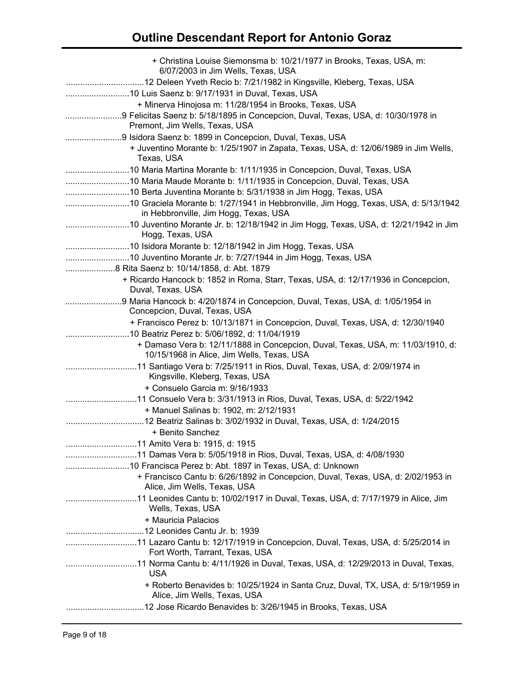| + Christina Louise Siemonsma b: 10/21/1977 in Brooks, Texas, USA, m:<br>6/07/2003 in Jim Wells, Texas, USA                    |
|-------------------------------------------------------------------------------------------------------------------------------|
|                                                                                                                               |
| + Minerva Hinojosa m: 11/28/1954 in Brooks, Texas, USA<br>Premont, Jim Wells, Texas, USA                                      |
| 9 Isidora Saenz b: 1899 in Concepcion, Duval, Texas, USA                                                                      |
| + Juventino Morante b: 1/25/1907 in Zapata, Texas, USA, d: 12/06/1989 in Jim Wells,<br>Texas, USA                             |
| 10 Maria Martina Morante b: 1/11/1935 in Concepcion, Duval, Texas, USA                                                        |
| 10 Maria Maude Morante b: 1/11/1935 in Concepcion, Duval, Texas, USA                                                          |
|                                                                                                                               |
| in Hebbronville, Jim Hogg, Texas, USA                                                                                         |
| Hogg, Texas, USA                                                                                                              |
|                                                                                                                               |
|                                                                                                                               |
| 8 Rita Saenz b: 10/14/1858, d: Abt. 1879                                                                                      |
| + Ricardo Hancock b: 1852 in Roma, Starr, Texas, USA, d: 12/17/1936 in Concepcion,<br>Duval, Texas, USA                       |
| Concepcion, Duval, Texas, USA                                                                                                 |
| + Francisco Perez b: 10/13/1871 in Concepcion, Duval, Texas, USA, d: 12/30/1940                                               |
| 10 Beatriz Perez b: 5/06/1892, d: 11/04/1919                                                                                  |
| + Damaso Vera b: 12/11/1888 in Concepcion, Duval, Texas, USA, m: 11/03/1910, d:<br>10/15/1968 in Alice, Jim Wells, Texas, USA |
| Kingsville, Kleberg, Texas, USA                                                                                               |
| + Consuelo Garcia m: 9/16/1933                                                                                                |
| 11 Consuelo Vera b: 3/31/1913 in Rios, Duval, Texas, USA, d: 5/22/1942<br>+ Manuel Salinas b: 1902, m: 2/12/1931              |
| + Benito Sanchez                                                                                                              |
|                                                                                                                               |
|                                                                                                                               |
| 10 Francisca Perez b: Abt. 1897 in Texas, USA, d: Unknown                                                                     |
| + Francisco Cantu b: 6/26/1892 in Concepcion, Duval, Texas, USA, d: 2/02/1953 in<br>Alice, Jim Wells, Texas, USA              |
| Wells, Texas, USA                                                                                                             |
| + Mauricia Palacios                                                                                                           |
|                                                                                                                               |
| 11 Lazaro Cantu b: 12/17/1919 in Concepcion, Duval, Texas, USA, d: 5/25/2014 in<br>Fort Worth, Tarrant, Texas, USA            |
| <b>USA</b>                                                                                                                    |
| + Roberto Benavides b: 10/25/1924 in Santa Cruz, Duval, TX, USA, d: 5/19/1959 in<br>Alice, Jim Wells, Texas, USA              |
| 12 Jose Ricardo Benavides b: 3/26/1945 in Brooks, Texas, USA                                                                  |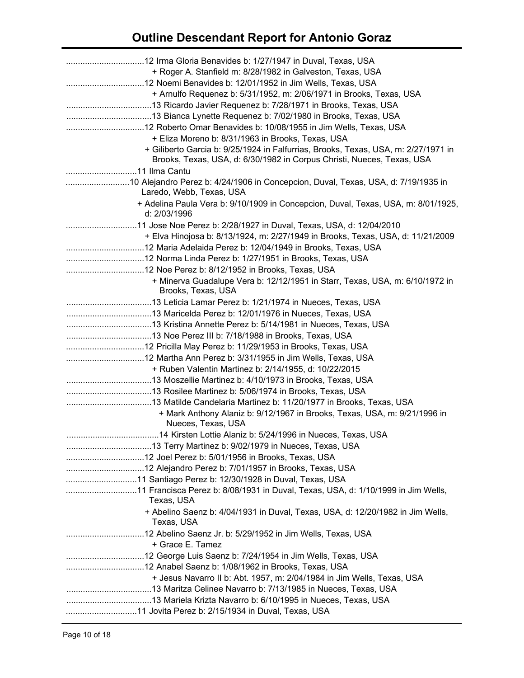| + Roger A. Stanfield m: 8/28/1982 in Galveston, Texas, USA                                                                                                   |
|--------------------------------------------------------------------------------------------------------------------------------------------------------------|
| + Arnulfo Requenez b: 5/31/1952, m: 2/06/1971 in Brooks, Texas, USA                                                                                          |
| + Eliza Moreno b: 8/31/1963 in Brooks, Texas, USA                                                                                                            |
| + Giliberto Garcia b: 9/25/1924 in Falfurrias, Brooks, Texas, USA, m: 2/27/1971 in<br>Brooks, Texas, USA, d: 6/30/1982 in Corpus Christi, Nueces, Texas, USA |
|                                                                                                                                                              |
| 10 Alejandro Perez b: 4/24/1906 in Concepcion, Duval, Texas, USA, d: 7/19/1935 in<br>Laredo, Webb, Texas, USA                                                |
| + Adelina Paula Vera b: 9/10/1909 in Concepcion, Duval, Texas, USA, m: 8/01/1925,<br>d: 2/03/1996                                                            |
| + Elva Hinojosa b: 8/13/1924, m: 2/27/1949 in Brooks, Texas, USA, d: 11/21/2009                                                                              |
|                                                                                                                                                              |
|                                                                                                                                                              |
|                                                                                                                                                              |
| + Minerva Guadalupe Vera b: 12/12/1951 in Starr, Texas, USA, m: 6/10/1972 in<br>Brooks, Texas, USA                                                           |
|                                                                                                                                                              |
|                                                                                                                                                              |
|                                                                                                                                                              |
|                                                                                                                                                              |
|                                                                                                                                                              |
|                                                                                                                                                              |
| + Ruben Valentin Martinez b: 2/14/1955, d: 10/22/2015                                                                                                        |
|                                                                                                                                                              |
|                                                                                                                                                              |
|                                                                                                                                                              |
| + Mark Anthony Alaniz b: 9/12/1967 in Brooks, Texas, USA, m: 9/21/1996 in<br>Nueces, Texas, USA                                                              |
| 14 Kirsten Lottie Alaniz b: 5/24/1996 in Nueces, Texas, USA                                                                                                  |
|                                                                                                                                                              |
|                                                                                                                                                              |
|                                                                                                                                                              |
|                                                                                                                                                              |
| 11 Francisca Perez b: 8/08/1931 in Duval, Texas, USA, d: 1/10/1999 in Jim Wells,<br>Texas, USA                                                               |
| + Abelino Saenz b: 4/04/1931 in Duval, Texas, USA, d: 12/20/1982 in Jim Wells,<br>Texas, USA                                                                 |
| + Grace E. Tamez                                                                                                                                             |
|                                                                                                                                                              |
|                                                                                                                                                              |
| + Jesus Navarro II b: Abt. 1957, m: 2/04/1984 in Jim Wells, Texas, USA                                                                                       |
|                                                                                                                                                              |
|                                                                                                                                                              |
|                                                                                                                                                              |
|                                                                                                                                                              |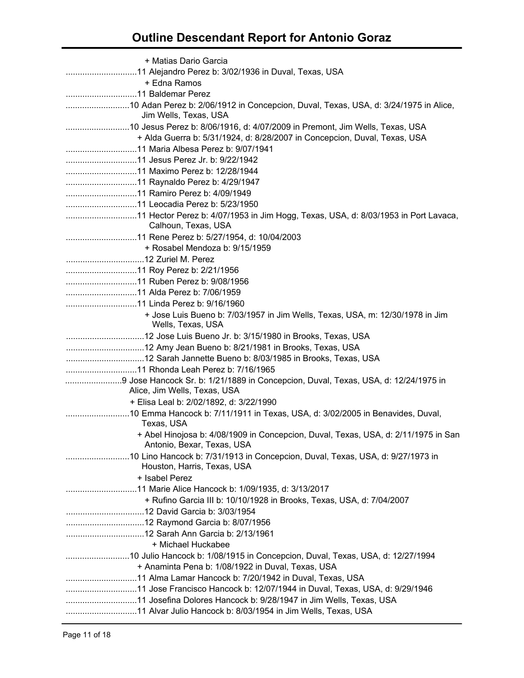| + Matias Dario Garcia                                                              |
|------------------------------------------------------------------------------------|
|                                                                                    |
| + Edna Ramos                                                                       |
|                                                                                    |
|                                                                                    |
| Jim Wells, Texas, USA                                                              |
|                                                                                    |
| + Alda Guerra b: 5/31/1924, d: 8/28/2007 in Concepcion, Duval, Texas, USA          |
|                                                                                    |
|                                                                                    |
|                                                                                    |
|                                                                                    |
|                                                                                    |
|                                                                                    |
|                                                                                    |
| Calhoun, Texas, USA                                                                |
|                                                                                    |
| + Rosabel Mendoza b: 9/15/1959                                                     |
|                                                                                    |
|                                                                                    |
|                                                                                    |
|                                                                                    |
|                                                                                    |
| + Jose Luis Bueno b: 7/03/1957 in Jim Wells, Texas, USA, m: 12/30/1978 in Jim      |
| Wells, Texas, USA                                                                  |
|                                                                                    |
|                                                                                    |
|                                                                                    |
|                                                                                    |
| 9 Jose Hancock Sr. b: 1/21/1889 in Concepcion, Duval, Texas, USA, d: 12/24/1975 in |
| Alice, Jim Wells, Texas, USA                                                       |
| + Elisa Leal b: 2/02/1892, d: 3/22/1990                                            |
|                                                                                    |
| Texas, USA                                                                         |
| + Abel Hinojosa b: 4/08/1909 in Concepcion, Duval, Texas, USA, d: 2/11/1975 in San |
| Antonio, Bexar, Texas, USA                                                         |
| 10 Lino Hancock b: 7/31/1913 in Concepcion, Duval, Texas, USA, d: 9/27/1973 in     |
| Houston, Harris, Texas, USA                                                        |
| + Isabel Perez                                                                     |
|                                                                                    |
| + Rufino Garcia III b: 10/10/1928 in Brooks, Texas, USA, d: 7/04/2007              |
|                                                                                    |
|                                                                                    |
|                                                                                    |
| + Michael Huckabee                                                                 |
|                                                                                    |
| + Anaminta Pena b: 1/08/1922 in Duval, Texas, USA                                  |
|                                                                                    |
|                                                                                    |
|                                                                                    |
|                                                                                    |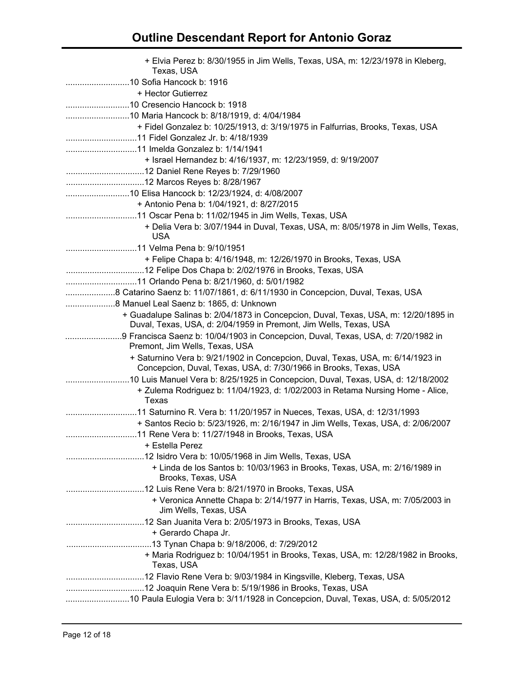| + Elvia Perez b: 8/30/1955 in Jim Wells, Texas, USA, m: 12/23/1978 in Kleberg,<br>Texas, USA                                                             |
|----------------------------------------------------------------------------------------------------------------------------------------------------------|
|                                                                                                                                                          |
| + Hector Gutierrez                                                                                                                                       |
|                                                                                                                                                          |
|                                                                                                                                                          |
| + Fidel Gonzalez b: 10/25/1913, d: 3/19/1975 in Falfurrias, Brooks, Texas, USA                                                                           |
|                                                                                                                                                          |
| + Israel Hernandez b: 4/16/1937, m: 12/23/1959, d: 9/19/2007                                                                                             |
|                                                                                                                                                          |
|                                                                                                                                                          |
| 10 Elisa Hancock b: 12/23/1924, d: 4/08/2007                                                                                                             |
| + Antonio Pena b: 1/04/1921, d: 8/27/2015                                                                                                                |
|                                                                                                                                                          |
| + Delia Vera b: 3/07/1944 in Duval, Texas, USA, m: 8/05/1978 in Jim Wells, Texas,<br><b>USA</b>                                                          |
|                                                                                                                                                          |
| + Felipe Chapa b: 4/16/1948, m: 12/26/1970 in Brooks, Texas, USA                                                                                         |
|                                                                                                                                                          |
|                                                                                                                                                          |
|                                                                                                                                                          |
|                                                                                                                                                          |
| + Guadalupe Salinas b: 2/04/1873 in Concepcion, Duval, Texas, USA, m: 12/20/1895 in<br>Duval, Texas, USA, d: 2/04/1959 in Premont, Jim Wells, Texas, USA |
| Premont, Jim Wells, Texas, USA                                                                                                                           |
| + Saturnino Vera b: 9/21/1902 in Concepcion, Duval, Texas, USA, m: 6/14/1923 in<br>Concepcion, Duval, Texas, USA, d: 7/30/1966 in Brooks, Texas, USA     |
| + Zulema Rodriguez b: 11/04/1923, d: 1/02/2003 in Retama Nursing Home - Alice,<br>Texas                                                                  |
|                                                                                                                                                          |
| + Santos Recio b: 5/23/1926, m: 2/16/1947 in Jim Wells, Texas, USA, d: 2/06/2007                                                                         |
|                                                                                                                                                          |
| + Estella Perez                                                                                                                                          |
|                                                                                                                                                          |
| + Linda de los Santos b: 10/03/1963 in Brooks, Texas, USA, m: 2/16/1989 in<br>Brooks, Texas, USA                                                         |
|                                                                                                                                                          |
| + Veronica Annette Chapa b: 2/14/1977 in Harris, Texas, USA, m: 7/05/2003 in<br>Jim Wells, Texas, USA                                                    |
| + Gerardo Chapa Jr.                                                                                                                                      |
|                                                                                                                                                          |
| + Maria Rodriguez b: 10/04/1951 in Brooks, Texas, USA, m: 12/28/1982 in Brooks,<br>Texas, USA                                                            |
|                                                                                                                                                          |
|                                                                                                                                                          |
| 10 Paula Eulogia Vera b: 3/11/1928 in Concepcion, Duval, Texas, USA, d: 5/05/2012                                                                        |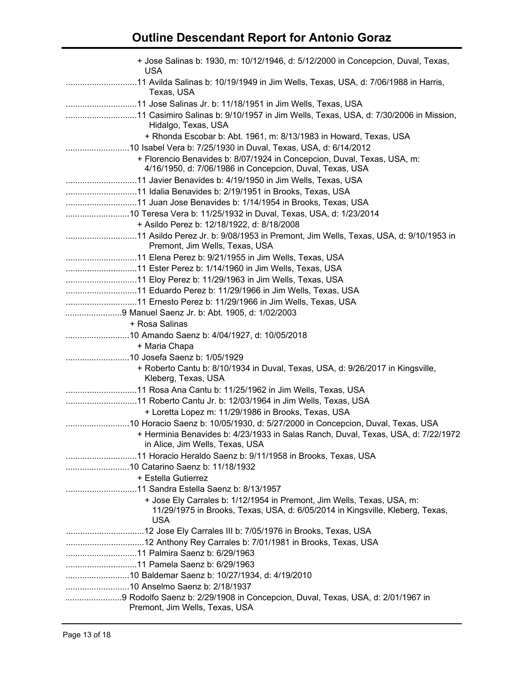| + Jose Salinas b: 1930, m: 10/12/1946, d: 5/12/2000 in Concepcion, Duval, Texas,<br><b>USA</b>                                                                        |
|-----------------------------------------------------------------------------------------------------------------------------------------------------------------------|
| Texas, USA                                                                                                                                                            |
|                                                                                                                                                                       |
| Hidalgo, Texas, USA                                                                                                                                                   |
| + Rhonda Escobar b: Abt. 1961, m: 8/13/1983 in Howard, Texas, USA                                                                                                     |
|                                                                                                                                                                       |
| + Florencio Benavides b: 8/07/1924 in Concepcion, Duval, Texas, USA, m:                                                                                               |
| 4/16/1950, d: 7/06/1986 in Concepcion, Duval, Texas, USA                                                                                                              |
|                                                                                                                                                                       |
|                                                                                                                                                                       |
|                                                                                                                                                                       |
| 10 Teresa Vera b: 11/25/1932 in Duval, Texas, USA, d: 1/23/2014                                                                                                       |
| + Asildo Perez b: 12/18/1922, d: 8/18/2008                                                                                                                            |
| Premont, Jim Wells, Texas, USA                                                                                                                                        |
|                                                                                                                                                                       |
|                                                                                                                                                                       |
|                                                                                                                                                                       |
|                                                                                                                                                                       |
|                                                                                                                                                                       |
| 9 Manuel Saenz Jr. b: Abt. 1905, d: 1/02/2003                                                                                                                         |
| + Rosa Salinas                                                                                                                                                        |
|                                                                                                                                                                       |
| + Maria Chapa                                                                                                                                                         |
|                                                                                                                                                                       |
| + Roberto Cantu b: 8/10/1934 in Duval, Texas, USA, d: 9/26/2017 in Kingsville,<br>Kleberg, Texas, USA                                                                 |
|                                                                                                                                                                       |
|                                                                                                                                                                       |
| + Loretta Lopez m: 11/29/1986 in Brooks, Texas, USA                                                                                                                   |
|                                                                                                                                                                       |
| + Herminia Benavides b: 4/23/1933 in Salas Ranch, Duval, Texas, USA, d: 7/22/1972<br>in Alice, Jim Wells, Texas, USA                                                  |
|                                                                                                                                                                       |
|                                                                                                                                                                       |
| + Estella Gutierrez                                                                                                                                                   |
|                                                                                                                                                                       |
| + Jose Ely Carrales b: 1/12/1954 in Premont, Jim Wells, Texas, USA, m:<br>11/29/1975 in Brooks, Texas, USA, d: 6/05/2014 in Kingsville, Kleberg, Texas,<br><b>USA</b> |
|                                                                                                                                                                       |
|                                                                                                                                                                       |
|                                                                                                                                                                       |
|                                                                                                                                                                       |
|                                                                                                                                                                       |
|                                                                                                                                                                       |
| 9 Rodolfo Saenz b: 2/29/1908 in Concepcion, Duval, Texas, USA, d: 2/01/1967 in<br>Premont, Jim Wells, Texas, USA                                                      |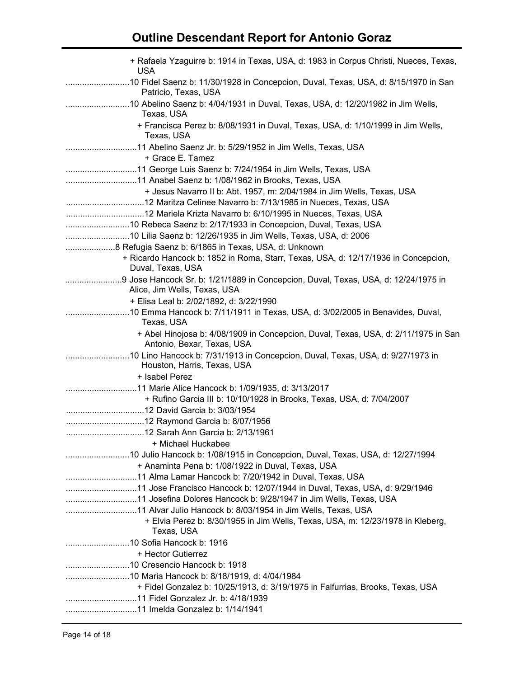| + Rafaela Yzaguirre b: 1914 in Texas, USA, d: 1983 in Corpus Christi, Nueces, Texas,<br><b>USA</b>                 |
|--------------------------------------------------------------------------------------------------------------------|
| 10 Fidel Saenz b: 11/30/1928 in Concepcion, Duval, Texas, USA, d: 8/15/1970 in San<br>Patricio, Texas, USA         |
| Texas, USA                                                                                                         |
| + Francisca Perez b: 8/08/1931 in Duval, Texas, USA, d: 1/10/1999 in Jim Wells,<br>Texas, USA                      |
| + Grace E. Tamez                                                                                                   |
|                                                                                                                    |
|                                                                                                                    |
| + Jesus Navarro II b: Abt. 1957, m: 2/04/1984 in Jim Wells, Texas, USA                                             |
|                                                                                                                    |
|                                                                                                                    |
| 10 Rebeca Saenz b: 2/17/1933 in Concepcion, Duval, Texas, USA                                                      |
| 10 Lilia Saenz b: 12/26/1935 in Jim Wells, Texas, USA, d: 2006                                                     |
|                                                                                                                    |
| + Ricardo Hancock b: 1852 in Roma, Starr, Texas, USA, d: 12/17/1936 in Concepcion,<br>Duval, Texas, USA            |
| 9 Jose Hancock Sr. b: 1/21/1889 in Concepcion, Duval, Texas, USA, d: 12/24/1975 in<br>Alice, Jim Wells, Texas, USA |
| + Elisa Leal b: 2/02/1892, d: 3/22/1990                                                                            |
| 10 Emma Hancock b: 7/11/1911 in Texas, USA, d: 3/02/2005 in Benavides, Duval,<br>Texas, USA                        |
| + Abel Hinojosa b: 4/08/1909 in Concepcion, Duval, Texas, USA, d: 2/11/1975 in San<br>Antonio, Bexar, Texas, USA   |
| Houston, Harris, Texas, USA                                                                                        |
| + Isabel Perez                                                                                                     |
|                                                                                                                    |
| + Rufino Garcia III b: 10/10/1928 in Brooks, Texas, USA, d: 7/04/2007                                              |
|                                                                                                                    |
|                                                                                                                    |
|                                                                                                                    |
| + Michael Huckabee                                                                                                 |
| + Anaminta Pena b: 1/08/1922 in Duval, Texas, USA                                                                  |
|                                                                                                                    |
|                                                                                                                    |
|                                                                                                                    |
| 11 Alvar Julio Hancock b: 8/03/1954 in Jim Wells, Texas, USA                                                       |
| + Elvia Perez b: 8/30/1955 in Jim Wells, Texas, USA, m: 12/23/1978 in Kleberg,<br>Texas, USA                       |
|                                                                                                                    |
| + Hector Gutierrez                                                                                                 |
|                                                                                                                    |
|                                                                                                                    |
| + Fidel Gonzalez b: 10/25/1913, d: 3/19/1975 in Falfurrias, Brooks, Texas, USA                                     |
|                                                                                                                    |
|                                                                                                                    |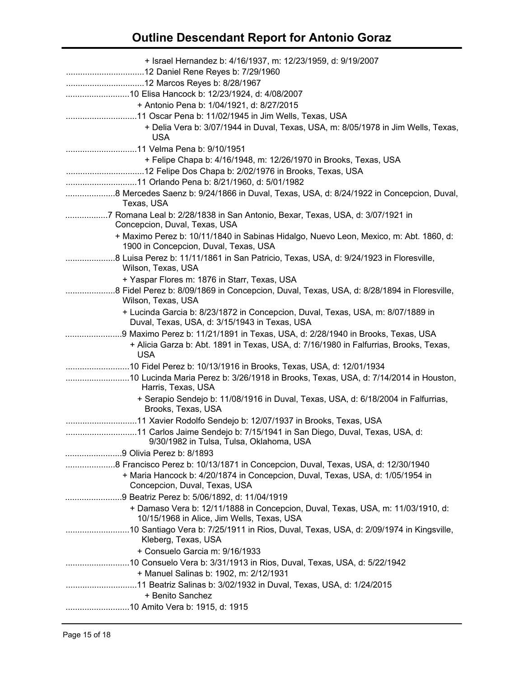| + Israel Hernandez b: 4/16/1937, m: 12/23/1959, d: 9/19/2007<br>10 Elisa Hancock b: 12/23/1924, d: 4/08/2007                                                                                         |
|------------------------------------------------------------------------------------------------------------------------------------------------------------------------------------------------------|
| + Antonio Pena b: 1/04/1921, d: 8/27/2015<br>11 Oscar Pena b: 11/02/1945 in Jim Wells, Texas, USA<br>+ Delia Vera b: 3/07/1944 in Duval, Texas, USA, m: 8/05/1978 in Jim Wells, Texas,<br><b>USA</b> |
| + Felipe Chapa b: 4/16/1948, m: 12/26/1970 in Brooks, Texas, USA                                                                                                                                     |
| Texas, USA                                                                                                                                                                                           |
| 7 Romana Leal b: 2/28/1838 in San Antonio, Bexar, Texas, USA, d: 3/07/1921 in<br>Concepcion, Duval, Texas, USA                                                                                       |
| + Maximo Perez b: 10/11/1840 in Sabinas Hidalgo, Nuevo Leon, Mexico, m: Abt. 1860, d:<br>1900 in Concepcion, Duval, Texas, USA                                                                       |
| 8 Luisa Perez b: 11/11/1861 in San Patricio, Texas, USA, d: 9/24/1923 in Floresville,<br>Wilson, Texas, USA                                                                                          |
| + Yaspar Flores m: 1876 in Starr, Texas, USA<br>8 Fidel Perez b: 8/09/1869 in Concepcion, Duval, Texas, USA, d: 8/28/1894 in Floresville,<br>Wilson, Texas, USA                                      |
| + Lucinda Garcia b: 8/23/1872 in Concepcion, Duval, Texas, USA, m: 8/07/1889 in<br>Duval, Texas, USA, d: 3/15/1943 in Texas, USA                                                                     |
| 9 Maximo Perez b: 11/21/1891 in Texas, USA, d: 2/28/1940 in Brooks, Texas, USA                                                                                                                       |
| + Alicia Garza b: Abt. 1891 in Texas, USA, d: 7/16/1980 in Falfurrias, Brooks, Texas,<br><b>USA</b>                                                                                                  |
| 10 Fidel Perez b: 10/13/1916 in Brooks, Texas, USA, d: 12/01/1934                                                                                                                                    |
| 10 Lucinda Maria Perez b: 3/26/1918 in Brooks, Texas, USA, d: 7/14/2014 in Houston,<br>Harris, Texas, USA                                                                                            |
| + Serapio Sendejo b: 11/08/1916 in Duval, Texas, USA, d: 6/18/2004 in Falfurrias,<br>Brooks, Texas, USA                                                                                              |
|                                                                                                                                                                                                      |
| 11 Carlos Jaime Sendejo b: 7/15/1941 in San Diego, Duval, Texas, USA, d:<br>9/30/1982 in Tulsa, Tulsa, Oklahoma, USA                                                                                 |
|                                                                                                                                                                                                      |
| 8 Francisco Perez b: 10/13/1871 in Concepcion, Duval, Texas, USA, d: 12/30/1940                                                                                                                      |
| + Maria Hancock b: 4/20/1874 in Concepcion, Duval, Texas, USA, d: 1/05/1954 in<br>Concepcion, Duval, Texas, USA                                                                                      |
|                                                                                                                                                                                                      |
| + Damaso Vera b: 12/11/1888 in Concepcion, Duval, Texas, USA, m: 11/03/1910, d:<br>10/15/1968 in Alice, Jim Wells, Texas, USA                                                                        |
| Kleberg, Texas, USA                                                                                                                                                                                  |
| + Consuelo Garcia m: 9/16/1933                                                                                                                                                                       |
| + Manuel Salinas b: 1902, m: 2/12/1931                                                                                                                                                               |
| + Benito Sanchez                                                                                                                                                                                     |
|                                                                                                                                                                                                      |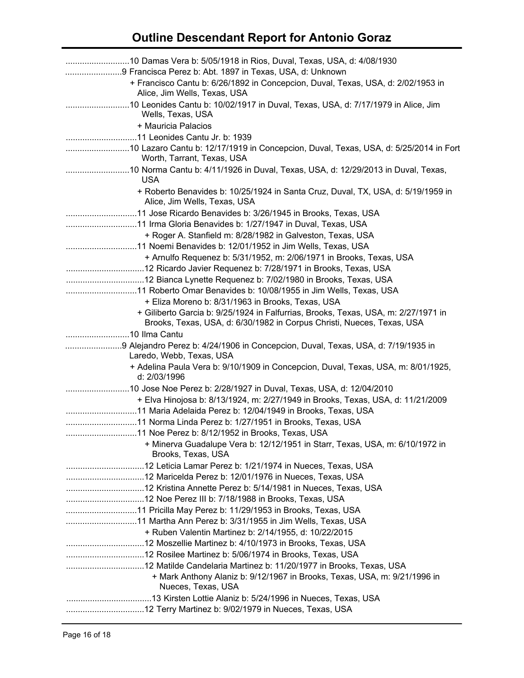| 9 Francisca Perez b: Abt. 1897 in Texas, USA, d: Unknown                                                                                                     |
|--------------------------------------------------------------------------------------------------------------------------------------------------------------|
| + Francisco Cantu b: 6/26/1892 in Concepcion, Duval, Texas, USA, d: 2/02/1953 in<br>Alice, Jim Wells, Texas, USA                                             |
| Wells, Texas, USA                                                                                                                                            |
| + Mauricia Palacios                                                                                                                                          |
|                                                                                                                                                              |
| 10 Lazaro Cantu b: 12/17/1919 in Concepcion, Duval, Texas, USA, d: 5/25/2014 in Fort<br>Worth, Tarrant, Texas, USA                                           |
| 10 Norma Cantu b: 4/11/1926 in Duval, Texas, USA, d: 12/29/2013 in Duval, Texas,<br><b>USA</b>                                                               |
| + Roberto Benavides b: 10/25/1924 in Santa Cruz, Duval, TX, USA, d: 5/19/1959 in<br>Alice, Jim Wells, Texas, USA                                             |
|                                                                                                                                                              |
|                                                                                                                                                              |
| + Roger A. Stanfield m: 8/28/1982 in Galveston, Texas, USA                                                                                                   |
|                                                                                                                                                              |
| + Arnulfo Requenez b: 5/31/1952, m: 2/06/1971 in Brooks, Texas, USA                                                                                          |
|                                                                                                                                                              |
|                                                                                                                                                              |
|                                                                                                                                                              |
| + Eliza Moreno b: 8/31/1963 in Brooks, Texas, USA                                                                                                            |
| + Giliberto Garcia b: 9/25/1924 in Falfurrias, Brooks, Texas, USA, m: 2/27/1971 in<br>Brooks, Texas, USA, d: 6/30/1982 in Corpus Christi, Nueces, Texas, USA |
|                                                                                                                                                              |
| Laredo, Webb, Texas, USA                                                                                                                                     |
| + Adelina Paula Vera b: 9/10/1909 in Concepcion, Duval, Texas, USA, m: 8/01/1925,<br>d: 2/03/1996                                                            |
| 10 Jose Noe Perez b: 2/28/1927 in Duval, Texas, USA, d: 12/04/2010                                                                                           |
| + Elva Hinojosa b: 8/13/1924, m: 2/27/1949 in Brooks, Texas, USA, d: 11/21/2009                                                                              |
|                                                                                                                                                              |
|                                                                                                                                                              |
|                                                                                                                                                              |
| + Minerva Guadalupe Vera b: 12/12/1951 in Starr, Texas, USA, m: 6/10/1972 in<br>Brooks, Texas, USA                                                           |
|                                                                                                                                                              |
|                                                                                                                                                              |
|                                                                                                                                                              |
|                                                                                                                                                              |
|                                                                                                                                                              |
|                                                                                                                                                              |
| + Ruben Valentin Martinez b: 2/14/1955, d: 10/22/2015                                                                                                        |
|                                                                                                                                                              |
|                                                                                                                                                              |
|                                                                                                                                                              |
| + Mark Anthony Alaniz b: 9/12/1967 in Brooks, Texas, USA, m: 9/21/1996 in<br>Nueces, Texas, USA                                                              |
|                                                                                                                                                              |
|                                                                                                                                                              |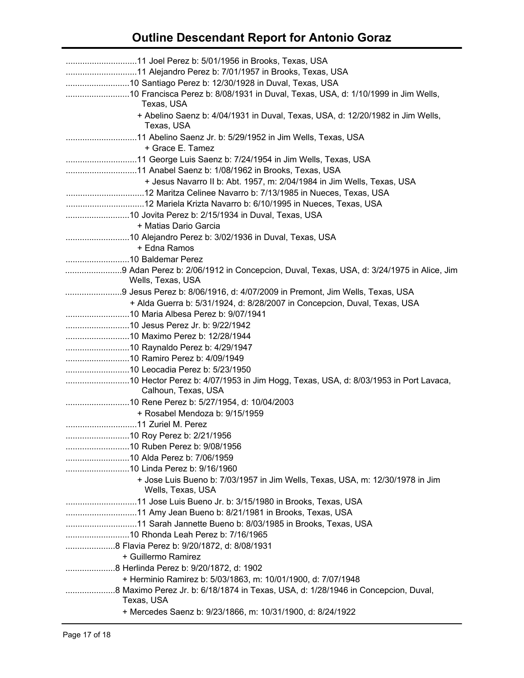| 10 Francisca Perez b: 8/08/1931 in Duval, Texas, USA, d: 1/10/1999 in Jim Wells,<br>Texas, USA  |
|-------------------------------------------------------------------------------------------------|
| + Abelino Saenz b: 4/04/1931 in Duval, Texas, USA, d: 12/20/1982 in Jim Wells,<br>Texas, USA    |
|                                                                                                 |
| + Grace E. Tamez                                                                                |
|                                                                                                 |
|                                                                                                 |
| + Jesus Navarro II b: Abt. 1957, m: 2/04/1984 in Jim Wells, Texas, USA                          |
|                                                                                                 |
|                                                                                                 |
|                                                                                                 |
| + Matias Dario Garcia                                                                           |
|                                                                                                 |
| + Edna Ramos                                                                                    |
|                                                                                                 |
| Wells, Texas, USA                                                                               |
|                                                                                                 |
| + Alda Guerra b: 5/31/1924, d: 8/28/2007 in Concepcion, Duval, Texas, USA                       |
|                                                                                                 |
|                                                                                                 |
|                                                                                                 |
|                                                                                                 |
|                                                                                                 |
|                                                                                                 |
|                                                                                                 |
| Calhoun, Texas, USA                                                                             |
|                                                                                                 |
| + Rosabel Mendoza b: 9/15/1959                                                                  |
|                                                                                                 |
|                                                                                                 |
|                                                                                                 |
|                                                                                                 |
| + Jose Luis Bueno b: 7/03/1957 in Jim Wells, Texas, USA, m: 12/30/1978 in Jim                   |
| Wells, Texas, USA                                                                               |
|                                                                                                 |
|                                                                                                 |
|                                                                                                 |
|                                                                                                 |
|                                                                                                 |
| + Guillermo Ramirez                                                                             |
|                                                                                                 |
| + Herminio Ramirez b: 5/03/1863, m: 10/01/1900, d: 7/07/1948                                    |
| 8 Maximo Perez Jr. b: 6/18/1874 in Texas, USA, d: 1/28/1946 in Concepcion, Duval,<br>Texas, USA |
| + Mercedes Saenz b: 9/23/1866, m: 10/31/1900, d: 8/24/1922                                      |
|                                                                                                 |